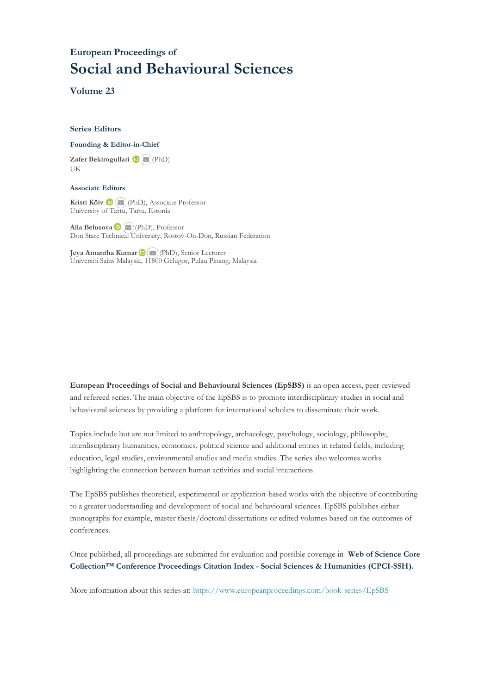# **European Proceedings of Social and Behavioural Sciences**

**Volume 23**

## **Series Editors**

#### **Founding & Editor-in-Chief**

**Zafer Bekirogullari**(PhD) UK

# **Associate Editors**

**Kristi Köiv** (PhD), Associate Professor University of Tartu, Tartu, Estonia

**Alla Belusova**(PhD), Professor Don State Technical University, Rostov-On-Don, Russian Federation

**Jeya Amantha Kumar**(PhD), Senior Lecturer Universiti Sains Malaysia, [1180](mailto:amantha@usm.my)0 Gelugor, Pulau Pinang, Malaysia

**European Proceedings of Social and Behavioural Sciences (EpSBS)** is an open access, peer-reviewed and refereed series. The main objective of the EpSBS is to promote interdisciplinary studies in social and behavioural sciences by providing a platform for international scholars to disseminate their work.

Topics include but are not limited to anthropology, archaeology, psychology, sociology, philosophy, interdisciplinary humanities, economics, political science and additional entries in related fields, including education, legal studies, environmental studies and media studies. The series also welcomes works highlighting the connection between human activities and social interactions.

The EpSBS publishes theoretical, experimental or application-based works with the objective of contributing to a greater understanding and development of social and behavioural sciences. EpSBS publishes either monographs for example, master thesis/doctoral dissertations or edited volumes based on the outcomes of conferences.

Once published, all proceedings are submitted for evaluation and possible coverage in **Web of [Science](https://clarivate.com/webofsciencegroup/solutions/webofscience-cpci/) Core Collection™ Conference Proceedings Citation Index - Social Sciences & Humanities [\(CPCI-SSH\).](https://clarivate.com/webofsciencegroup/solutions/webofscience-cpci/)**

More information about this series at[: https://www.europeanproceedings.com/book-series/EpSBS](https://www.europeanproceedings.com/book-series/EpSBS)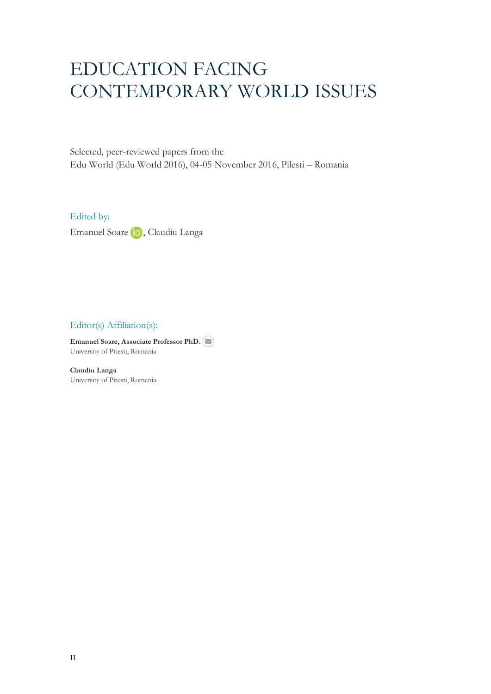# EDUCATION FACING CONTEMPORARY WORLD ISSUES

Selected, peer-reviewed papers from the Edu World (Edu World 2016), 04-05 November 2016, Pilesti – Romania

Edited by:

EmanuelSoare D, Claudiu Langa

Editor(s) Affiliation(s):

**Emanuel Soare, Associate Professor PhD.** University of Pitesti, Romania

**Claudiu Langa** University of Pitesti, Romania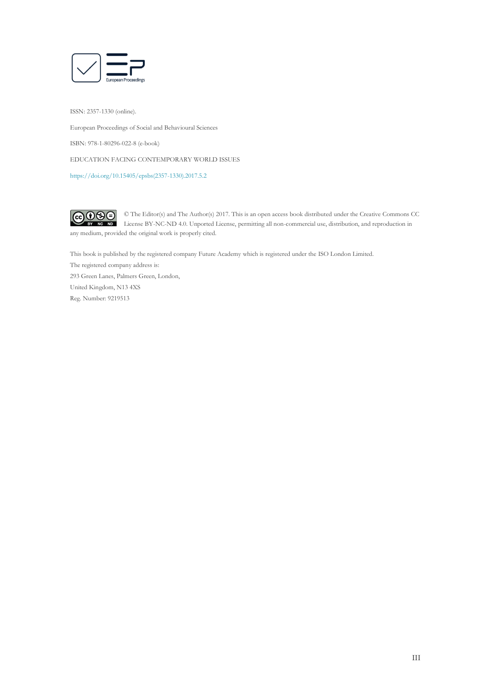

ISSN: 2357-1330 (online). European Proceedings of Social and Behavioural Sciences ISBN: 978-1-80296-022-8 (e-book) EDUCATION FACING CONTEMPORARY WORLD ISSUES [https://doi.org/10.15405/epsbs\(2357-1330\).2017.5.2](https://doi.org/10.15405/epsbs(2357-1330).2017.5.2)



© The Editor(s) and The Author(s) 2017. This is an open access book distributed under the Creative Commons CC License BY-NC-ND 4.0. Unported License, permitting all non-commercial use, distribution, and reproduction in  $\overline{ND}$ any medium, provided the original work is properly cited.

This book is published by the registered company Future Academy which is registered under the ISO London Limited. The registered company address is: 293 Green Lanes, Palmers Green, London, United Kingdom, N13 4XS Reg. Number: 9219513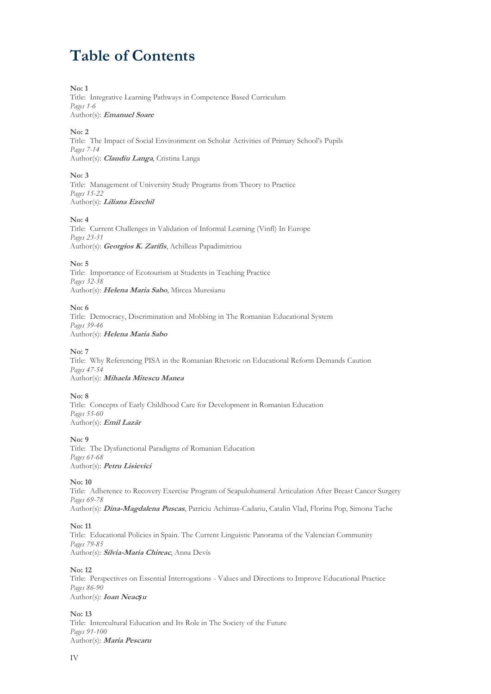# **Table of Contents**

# **No: 1**

Title: Integrative Learning Pathways in Competence Based Curriculum *Pages 1-6* Author(s): **Emanuel Soare**

#### **No: 2**

Title: The Impact of Social Environment on Scholar Activities of Primary School's Pupils *Pages 7-14* Author(s): **Claudiu Langa**, Cristina Langa

# **No: 3**

Title: Management of University Study Programs from Theory to Practice *Pages 15-22* Author(s): **Liliana Ezechil**

#### **No: 4**

Title: Current Challenges in Validation of Informal Learning (Vinfl) In Europe *Pages 23-31* Author(s): **Georgios K. Zarifis**, Achilleas Papadimitriou

# **No: 5**

Title: Importance of Ecotourism at Students in Teaching Practice *Pages 32-38* Author(s): **Helena Maria Sabo**, Mircea Muresianu

# **No: 6**

Title: Democracy, Discrimination and Mobbing in The Romanian Educational System *Pages 39-46* Author(s): **Helena Maria Sabo**

#### **No: 7**

Title: Why Referencing PISA in the Romanian Rhetoric on Educational Reform Demands Caution *Pages 47-54* Author(s): **Mihaela Mitescu Manea**

#### **No: 8**

Title: Concepts of Early Childhood Care for Development in Romanian Education *Pages 55-60* Author(s): **Emil Lazăr**

# **No: 9**

Title: The Dysfunctional Paradigms of Romanian Education *Pages 61-68* Author(s): **Petru Lisievici**

# **No: 10**

Title: Adherence to Recovery Exercise Program of Scapulohumeral Articulation After Breast Cancer Surgery *Pages 69-78* Author(s): **Dina-Magdalena Puscas**, Patriciu Achimas-Cadariu, Catalin Vlad, Florina Pop, Simona Tache

# **No: 11**

Title: Educational Policies in Spain. The Current Linguistic Panorama of the Valencian Community *Pages 79-85* Author(s): **Silvia-Maria Chireac**, Anna Devís

#### **No: 12**

Title: Perspectives on Essential Interrogations - Values and Directions to Improve Educational Practice *Pages 86-90* Author(s): **Ioan Neac***ș***<sup>u</sup>**

# **No: 13**

Title: Intercultural Education and Its Role in The Society of the Future *Pages 91-100* Author(s): **Maria Pescaru**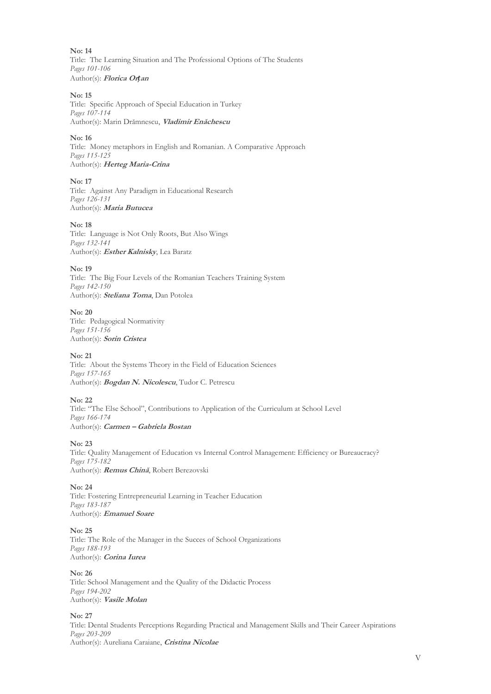**No: 14** Title: The Learning Situation and The Professional Options of The Students *Pages 101-106* Author(s): **Florica Or***ț***an**

#### **No: 15**

Title: Specific Approach of Special Education in Turkey *Pages 107-114* Author(s): Marin Drămnescu, **Vladimir Enăchescu**

#### **No: 16**

Title: Money metaphors in English and Romanian. A Comparative Approach *Pages 115-125* Author(s): **Herteg Maria-Crina**

#### **No: 17**

Title: Against Any Paradigm in Educational Research *Pages 126-131* Author(s): **Maria Butucea**

#### **No: 18**

Title: Language is Not Only Roots, But Also Wings *Pages 132-141* Author(s): **Esther Kalnisky**, Lea Baratz

#### **No: 19**

Title: The Big Four Levels of the Romanian Teachers Training System *Pages 142-150* Author(s): **Steliana Toma**, Dan Potolea

#### **No: 20**

Title: Pedagogical Normativity *Pages 151-156* Author(s): **Sorin Cristea**

# **No: 21**

Title: About the Systems Theory in the Field of Education Sciences *Pages 157-165* Author(s): **Bogdan N. Nicolescu**, Tudor C. Petrescu

#### **No: 22**

Title: "The Else School", Contributions to Application of the Curriculum at School Level *Pages 166-174* Author(s): **Carmen – Gabriela Bostan**

#### **No: 23**

Title: Quality Management of Education vs Internal Control Management: Efficiency or Bureaucracy? *Pages 175-182* Author(s): **Remus Chină**, Robert Berezovski

#### **No: 24**

Title: Fostering Entrepreneurial Learning in Teacher Education *Pages 183-187* Author(s): **Emanuel Soare**

#### **No: 25**

Title: The Role of the Manager in the Succes of School Organizations *Pages 188-193* Author(s): **Corina Iurea**

#### **No: 26**

Title: School Management and the Quality of the Didactic Process *Pages 194-202* Author(s): **Vasile Molan**

#### **No: 27**

Title: Dental Students Perceptions Regarding Practical and Management Skills and Their Career Aspirations *Pages 203-209* Author(s): Aureliana Caraiane, **Cristina Nicolae**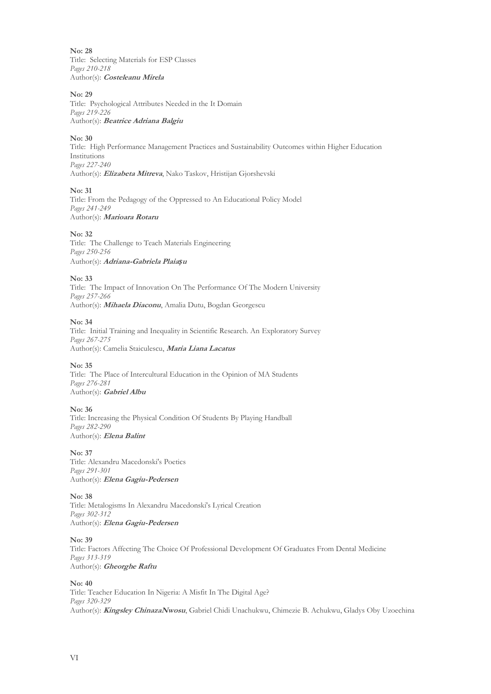**No: 28** Title: Selecting Materials for ESP Classes *Pages 210-218* Author(s): **Costeleanu Mirela**

#### **No: 29**

Title: Psychological Attributes Needed in the It Domain *Pages 219-226* Author(s): **Beatrice Adriana Balgiu**

#### **No: 30**

Title: High Performance Management Practices and Sustainability Outcomes within Higher Education Institutions *Pages 227-240* Author(s): **Elizabeta Mitreva**, Nako Taskov, Hristijan Gjorshevski

#### **No: 31**

Title: From the Pedagogy of the Oppressed to An Educational Policy Model *Pages 241-249* Author(s): **Marioara Rotaru**

#### **No: 32**

Title: The Challenge to Teach Materials Engineering *Pages 250-256* Author(s): **Adriana-Gabriela Plaia***ș***<sup>u</sup>**

#### **No: 33**

Title: The Impact of Innovation On The Performance Of The Modern University *Pages 257-266* Author(s): **Mihaela Diaconu**, Amalia Dutu, Bogdan Georgescu

#### **No: 34**

Title: Initial Training and Inequality in Scientific Research. An Exploratory Survey *Pages 267-275* Author(s): Camelia Staiculescu, **Maria Liana Lacatus**

#### **No: 35**

Title: The Place of Intercultural Education in the Opinion of MA Students *Pages 276-281* Author(s): **Gabriel Albu**

#### **No: 36**

Title: Increasing the Physical Condition Of Students By Playing Handball *Pages 282-290* Author(s): **Elena Balint**

#### **No: 37**

Title: Alexandru Macedonski's Poetics *Pages 291-301* Author(s): **Elena Gagiu-Pedersen**

#### **No: 38**

Title: Metalogisms In Alexandru Macedonski's Lyrical Creation *Pages 302-312* Author(s): **Elena Gagiu-Pedersen**

#### **No: 39**

Title: Factors Affecting The Choice Of Professional Development Of Graduates From Dental Medicine *Pages 313-319* Author(s): **Gheorghe Raftu**

#### **No: 40**

Title: Teacher Education In Nigeria: A Misfit In The Digital Age? *Pages 320-329* Author(s): **Kingsley ChinazaNwosu**, Gabriel Chidi Unachukwu, Chimezie B. Achukwu, Gladys Oby Uzoechina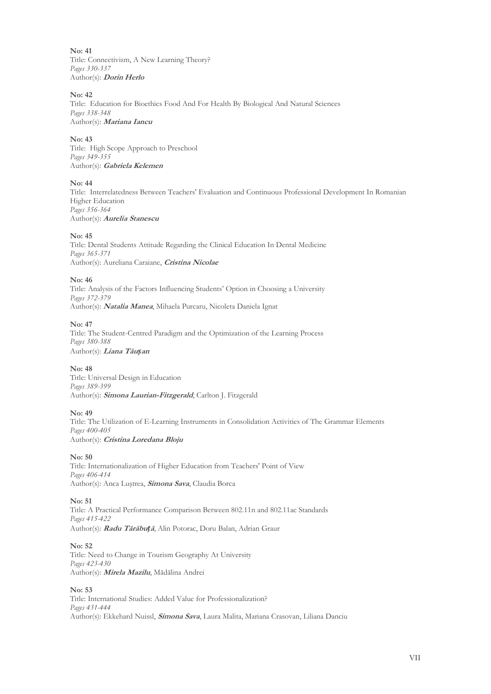**No: 41** Title: Connectivism, A New Learning Theory? *Pages 330-337* Author(s): **Dorin Herlo**

#### **No: 42**

Title: Education for Bioethics Food And For Health By Biological And Natural Sciences *Pages 338-348* Author(s): **Mariana Iancu**

#### **No: 43**

Title: High Scope Approach to Preschool *Pages 349-355* Author(s): **Gabriela Kelemen**

# **No: 44**

Title: Interrelatedness Between Teachers' Evaluation and Continuous Professional Development In Romanian Higher Education *Pages 356-364* Author(s): **Aurelia Stanescu**

#### **No: 45**

Title: Dental Students Attitude Regarding the Clinical Education In Dental Medicine *Pages 365-371* Author(s): Aureliana Caraiane, **Cristina Nicolae**

#### **No: 46**

Title: Analysis of the Factors Influencing Students' Option in Choosing a University *Pages 372-379* Author(s): **Natalia Manea**, Mihaela Purcaru, Nicoleta Daniela Ignat

#### **No: 47**

Title: The Student-Centred Paradigm and the Optimization of the Learning Process *Pages 380-388* Author(s): **Liana Tău***ș***an**

#### **No: 48**

Title: Universal Design in Education *Pages 389-399* Author(s): **Simona Laurian-Fitzgerald**, Carlton J. Fitzgerald

#### **No: 49**

Title: The Utilization of E-Learning Instruments in Consolidation Activities of The Grammar Elements *Pages 400-405* Author(s): **Cristina Loredana Bloju**

#### **No: 50**

Title: Internationalization of Higher Education from Teachers' Point of View *Pages 406-414* Author(s): Anca Luştrea, **Simona Sava**, Claudia Borca

#### **No: 51**

Title: A Practical Performance Comparison Between 802.11n and 802.11ac Standards *Pages 415-422* Author(s): **Radu Tărăbu***ț***ă**, Alin Potorac, Doru Balan, Adrian Graur

#### **No: 52**

Title: Need to Change in Tourism Geography At University *Pages 423-430* Author(s): **Mirela Mazilu**, Mădălina Andrei

## **No: 53**

Title: International Studies: Added Value for Professionalization? *Pages 431-444* Author(s): Ekkehard Nuissl, **Simona Sava**, Laura Malita, Mariana Crasovan, Liliana Danciu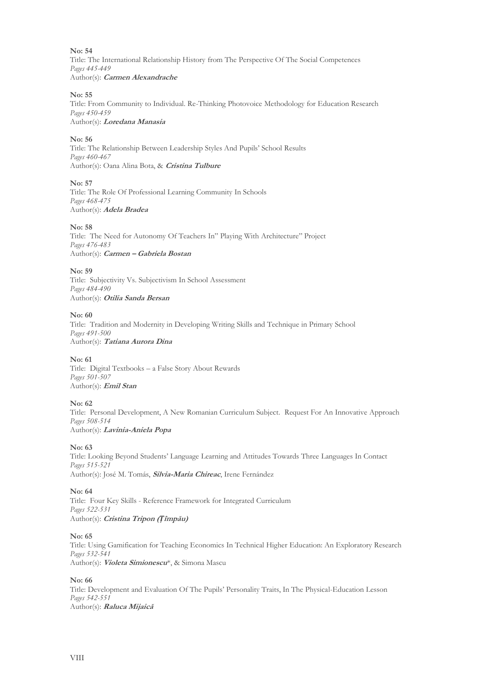Title: The International Relationship History from The Perspective Of The Social Competences *Pages 445-449* Author(s): **Carmen Alexandrache**

#### **No: 55**

Title: From Community to Individual. Re-Thinking Photovoice Methodology for Education Research *Pages 450-459* Author(s): **Loredana Manasia**

# **No: 56**

Title: The Relationship Between Leadership Styles And Pupils' School Results *Pages 460-467* Author(s): Oana Alina Bota, & **Cristina Tulbure**

# **No: 57**

Title: The Role Of Professional Learning Community In Schools *Pages 468-475* Author(s): **Adela Bradea**

#### **No: 58**

Title: The Need for Autonomy Of Teachers In" Playing With Architecture" Project *Pages 476-483* Author(s): **Carmen – Gabriela Bostan**

# **No: 59**

Title: Subjectivity Vs. Subjectivism In School Assessment *Pages 484-490* Author(s): **Otilia Sanda Bersan**

# **No: 60**

Title: Tradition and Modernity in Developing Writing Skills and Technique in Primary School *Pages 491-500* Author(s): **Tatiana Aurora Dina**

# **No: 61**

Title: Digital Textbooks – a False Story About Rewards *Pages 501-507* Author(s): **Emil Stan**

# **No: 62**

Title: Personal Development, A New Romanian Curriculum Subject. Request For An Innovative Approach *Pages 508-514* Author(s): **Lavinia-Aniela Popa**

# **No: 63**

Title: Looking Beyond Students' Language Learning and Attitudes Towards Three Languages In Contact *Pages 515-521* Author(s): José M. Tomás, **Silvia-Maria Chireac**, Irene Fernández

# **No: 64**

Title: Four Key Skills - Reference Framework for Integrated Curriculum *Pages 522-531* Author(s): **Cristina Tripon (***Ț***împău)**

#### **No: 65**

Title: Using Gamification for Teaching Economics In Technical Higher Education: An Exploratory Research *Pages 532-541* Author(s): **Violeta Simionescu**\*, & Simona Mascu

# **No: 66**

Title: Development and Evaluation Of The Pupils' Personality Traits, In The Physical-Education Lesson *Pages 542-551* Author(s): **Raluca Mijaică**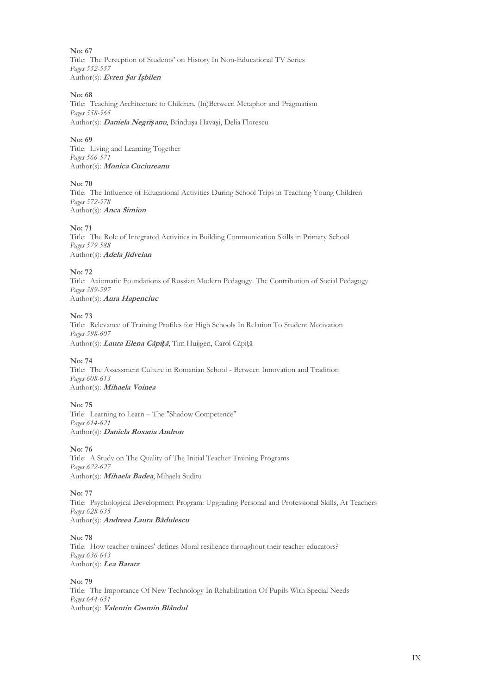**No: 67** Title: The Perception of Students' on History In Non-Educational TV Series *Pages 552-557* Author(s): **Evren Şar İşbilen**

#### **No: 68**

Title: Teaching Architecture to Children. (In)Between Metaphor and Pragmatism *Pages 558-565* Author(s): **Daniela Negri***ș***anu**, Brîndușa Havași, Delia Florescu

#### **No: 69**

Title: Living and Learning Together *Pages 566-571* Author(s): **Monica Cuciureanu**

#### **No: 70**

Title: The Influence of Educational Activities During School Trips in Teaching Young Children *Pages 572-578* Author(s): **Anca Simion**

#### **No: 71**

Title: The Role of Integrated Activities in Building Communication Skills in Primary School *Pages 579-588* Author(s): **Adela Jidveian**

#### **No: 72**

Title: Axiomatic Foundations of Russian Modern Pedagogy. The Contribution of Social Pedagogy *Pages 589-597* Author(s): **Aura Hapenciuc**

#### **No: 73**

Title: Relevance of Training Profiles for High Schools In Relation To Student Motivation *Pages 598-607* Author(s): **Laura Elena Căpi***ț***ă**, Tim Huijgen, Carol Căpiță

#### **No: 74**

Title: The Assessment Culture in Romanian School - Between Innovation and Tradition *Pages 608-613* Author(s): **Mihaela Voinea**

# **No: 75**

Title: Learning to Learn - The "Shadow Competence" *Pages 614-621* Author(s): **Daniela Roxana Andron**

#### **No: 76**

Title: A Study on The Quality of The Initial Teacher Training Programs *Pages 622-627* Author(s): **Mihaela Badea**, Mihaela Suditu

#### **No: 77**

Title: Psychological Development Program: Upgrading Personal and Professional Skills, At Teachers *Pages 628-635* Author(s): **Andreea Laura Bădulescu**

#### **No: 78**

Title: How teacher trainees' defines Moral resilience throughout their teacher educators? *Pages 636-643* Author(s): **Lea Baratz**

#### **No: 79**

Title: The Importance Of New Technology In Rehabilitation Of Pupils With Special Needs *Pages 644-651* Author(s): **Valentin Cosmin Blândul**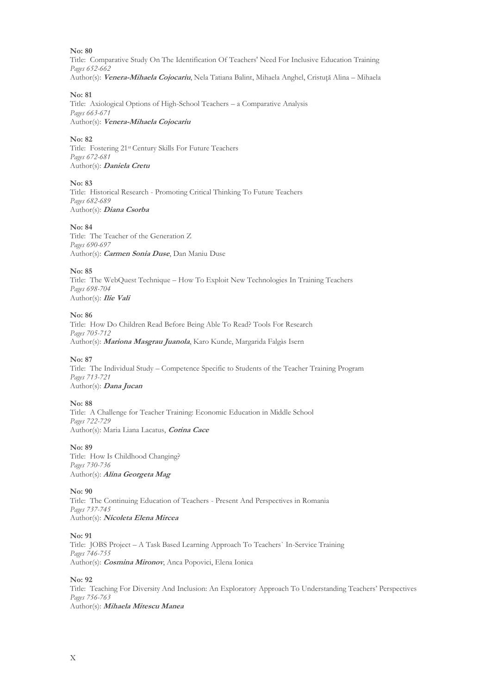Title: Comparative Study On The Identification Of Teachers' Need For Inclusive Education Training *Pages 652-662* Author(s): **Venera-Mihaela Cojocariu**, Nela Tatiana Balint, Mihaela Anghel, Cristuţă Alina – Mihaela

#### **No: 81**

Title: Axiological Options of High-School Teachers – a Comparative Analysis *Pages 663-671* Author(s): **Venera-Mihaela Cojocariu**

#### **No: 82**

Title: Fostering 21st Century Skills For Future Teachers *Pages 672-681* Author(s): **Daniela Cretu**

# **No: 83**

Title: Historical Research - Promoting Critical Thinking To Future Teachers *Pages 682-689* Author(s): **Diana Csorba**

#### **No: 84**

Title: The Teacher of the Generation Z *Pages 690-697* Author(s): **Carmen Sonia Duse**, Dan Maniu Duse

#### **No: 85**

Title: The WebQuest Technique – How To Exploit New Technologies In Training Teachers *Pages 698-704* Author(s): **Ilie Vali**

# **No: 86**

Title: How Do Children Read Before Being Able To Read? Tools For Research *Pages 705-712* Author(s): **Mariona Masgrau Juanola**, Karo Kunde, Margarida Falgàs Isern

#### **No: 87**

Title: The Individual Study – Competence Specific to Students of the Teacher Training Program *Pages 713-721* Author(s): **Dana Jucan**

#### **No: 88**

Title: A Challenge for Teacher Training: Economic Education in Middle School *Pages 722-729* Author(s): Maria Liana Lacatus, **Corina Cace**

# **No: 89**

Title: How Is Childhood Changing? *Pages 730-736* Author(s): **Alina Georgeta Mag**

# **No: 90**

Title: The Continuing Education of Teachers - Present And Perspectives in Romania *Pages 737-745* Author(s): **Nicoleta Elena Mircea**

# **No: 91**

Title: JOBS Project – A Task Based Learning Approach To Teachers` In-Service Training *Pages 746-755* Author(s): **Cosmina Mironov**, Anca Popovici, Elena Ionica

#### **No: 92**

Title: Teaching For Diversity And Inclusion: An Exploratory Approach To Understanding Teachers' Perspectives *Pages 756-763* Author(s): **Mihaela Mitescu Manea**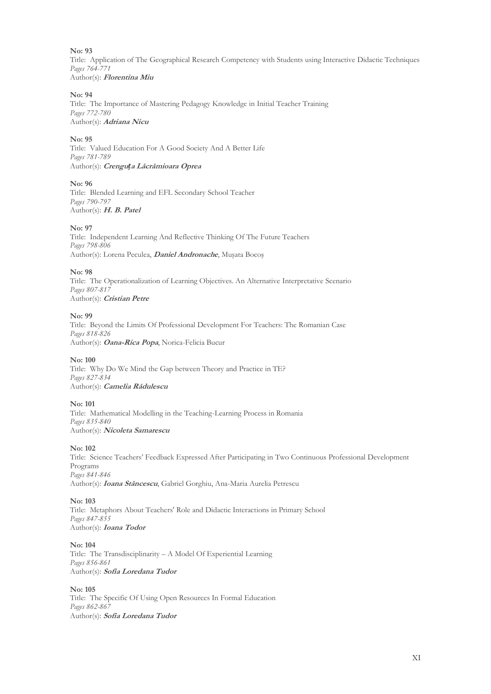Title: Application of The Geographical Research Competency with Students using Interactive Didactic Techniques *Pages 764-771* Author(s): **Florentina Miu**

#### **No: 94**

Title: The Importance of Mastering Pedagogy Knowledge in Initial Teacher Training *Pages 772-780* Author(s): **Adriana Nicu**

#### **No: 95**

Title: Valued Education For A Good Society And A Better Life *Pages 781-789* Author(s): **Crengu***ț***a Lăcrămioara Oprea**

# **No: 96**

Title: Blended Learning and EFL Secondary School Teacher *Pages 790-797* Author(s): **H. B. Patel**

#### **No: 97**

Title: Independent Learning And Reflective Thinking Of The Future Teachers *Pages 798-806* Author(s): Lorena Peculea, **Daniel Andronache**, Muşata Bocoş

#### **No: 98**

Title: The Operationalization of Learning Objectives. An Alternative Interpretative Scenario *Pages 807-817* Author(s): **Cristian Petre**

# **No: 99**

Title: Beyond the Limits Of Professional Development For Teachers: The Romanian Case *Pages 818-826* Author(s): **Oana-Rica Popa**, Norica-Felicia Bucur

#### **No: 100**

Title: Why Do We Mind the Gap between Theory and Practice in TE? *Pages 827-834* Author(s): **Camelia Rădulescu**

#### **No: 101**

Title: Mathematical Modelling in the Teaching-Learning Process in Romania *Pages 835-840* Author(s): **Nicoleta Samarescu**

#### **No: 102**

Title: Science Teachers' Feedback Expressed After Participating in Two Continuous Professional Development Programs *Pages 841-846* Author(s): **Ioana Stăncescu**, Gabriel Gorghiu, Ana-Maria Aurelia Petrescu

#### **No: 103**

Title: Metaphors About Teachers' Role and Didactic Interactions in Primary School *Pages 847-855* Author(s): **Ioana Todor**

#### **No: 104**

Title: The Transdisciplinarity – A Model Of Experiential Learning *Pages 856-861* Author(s): **Sofia Loredana Tudor**

#### **No: 105**

Title: The Specific Of Using Open Resources In Formal Education *Pages 862-867* Author(s): **Sofia Loredana Tudor**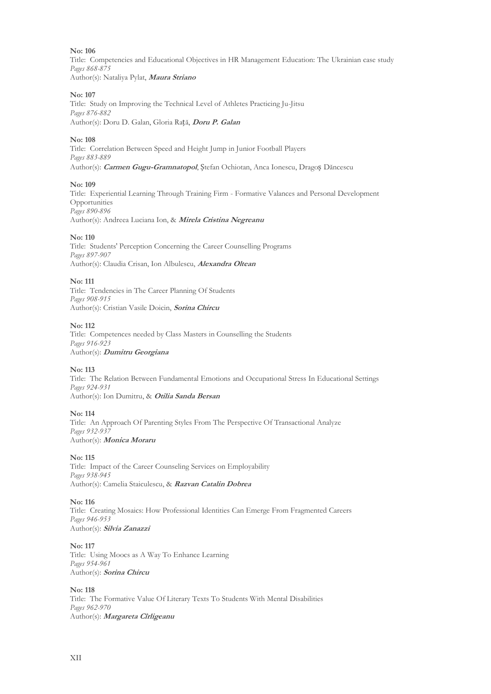Title: Competencies and Educational Objectives in HR Management Education: The Ukrainian case study *Pages 868-875* Author(s): Nataliya Pylat, **Maura Striano**

#### **No: 107**

Title: Study on Improving the Technical Level of Athletes Practicing Ju-Jitsu *Pages 876-882* Author(s): Doru D. Galan, Gloria Rață, **Doru P. Galan**

#### **No: 108**

Title: Correlation Between Speed and Height Jump in Junior Football Players *Pages 883-889* Author(s): **Carmen Gugu-Gramnatopol**, Ștefan Ochiotan, Anca Ionescu, Dragoș Dăncescu

#### **No: 109**

Title: Experiential Learning Through Training Firm - Formative Valances and Personal Development Opportunities *Pages 890-896* Author(s): Andreea Luciana Ion, & **Mirela Cristina Negreanu**

#### **No: 110**

Title: Students' Perception Concerning the Career Counselling Programs *Pages 897-907* Author(s): Claudia Crisan, Ion Albulescu, **Alexandra Oltean**

#### **No: 111**

Title: Tendencies in The Career Planning Of Students *Pages 908-915* Author(s): Cristian Vasile Doicin, **Sorina Chircu**

#### **No: 112**

Title: Competences needed by Class Masters in Counselling the Students *Pages 916-923* Author(s): **Dumitru Georgiana**

#### **No: 113**

Title: The Relation Between Fundamental Emotions and Occupational Stress In Educational Settings *Pages 924-931* Author(s): Ion Dumitru, & **Otilia Sanda Bersan**

#### **No: 114**

Title: An Approach Of Parenting Styles From The Perspective Of Transactional Analyze *Pages 932-937* Author(s): **Monica Moraru**

# **No: 115**

Title: Impact of the Career Counseling Services on Employability *Pages 938-945* Author(s): Camelia Staiculescu, & **Razvan Catalin Dobrea**

#### **No: 116**

Title: Creating Mosaics: How Professional Identities Can Emerge From Fragmented Careers *Pages 946-953* Author(s): **Silvia Zanazzi**

# **No: 117**

Title: Using Moocs as A Way To Enhance Learning *Pages 954-961* Author(s): **Sorina Chircu**

# **No: 118**

Title: The Formative Value Of Literary Texts To Students With Mental Disabilities *Pages 962-970* Author(s): **Margareta Cîrligeanu**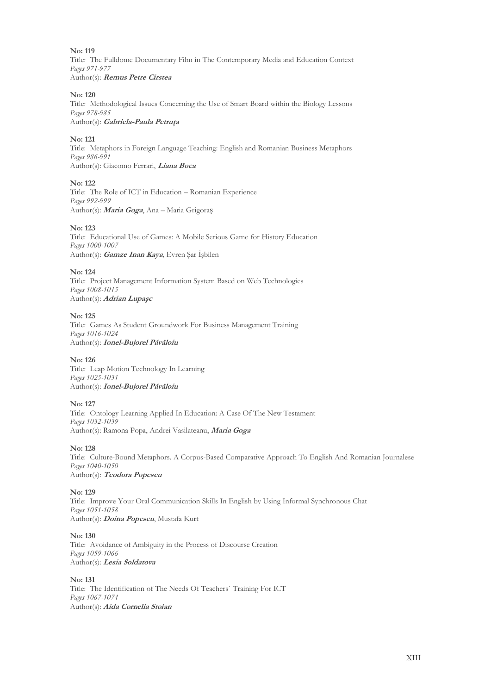Title: The Fulldome Documentary Film in The Contemporary Media and Education Context *Pages 971-977* Author(s): **Remus Petre Cirstea**

#### **No: 120**

Title: Methodological Issues Concerning the Use of Smart Board within the Biology Lessons *Pages 978-985*

Author(s): **Gabriela-Paula Petruţa**

# **No: 121**

Title: Metaphors in Foreign Language Teaching: English and Romanian Business Metaphors *Pages 986-991* Author(s): Giacomo Ferrari, **Liana Boca**

#### **No: 122**

Title: The Role of ICT in Education – Romanian Experience *Pages 992-999* Author(s): **Maria Goga**, Ana – Maria Grigoraș

#### **No: 123**

Title: Educational Use of Games: A Mobile Serious Game for History Education *Pages 1000-1007* Author(s): **Gamze Inan Kaya**, Evren Şar İşbilen

#### **No: 124**

Title: Project Management Information System Based on Web Technologies *Pages 1008-1015* Author(s): **Adrian Lupaşc**

#### **No: 125**

Title: Games As Student Groundwork For Business Management Training *Pages 1016-1024* Author(s): **Ionel-Bujorel Păvăloiu**

#### **No: 126**

Title: Leap Motion Technology In Learning *Pages 1025-1031* Author(s): **Ionel-Bujorel Păvăloiu**

#### **No: 127**

Title: Ontology Learning Applied In Education: A Case Of The New Testament *Pages 1032-1039* Author(s): Ramona Popa, Andrei Vasilateanu, **Maria Goga**

**No: 128**

Title: Culture-Bound Metaphors. A Corpus-Based Comparative Approach To English And Romanian Journalese *Pages 1040-1050* Author(s): **Teodora Popescu**

#### **No: 129**

Title: Improve Your Oral Communication Skills In English by Using Informal Synchronous Chat *Pages 1051-1058* Author(s): **Doina Popescu**, Mustafa Kurt

#### **No: 130**

Title: Avoidance of Ambiguity in the Process of Discourse Creation *Pages 1059-1066* Author(s): **Lesia Soldatova**

# **No: 131**

Title: The Identification of The Needs Of Teachers` Training For ICT *Pages 1067-1074* Author(s): **Aida Cornelia Stoian**

XIII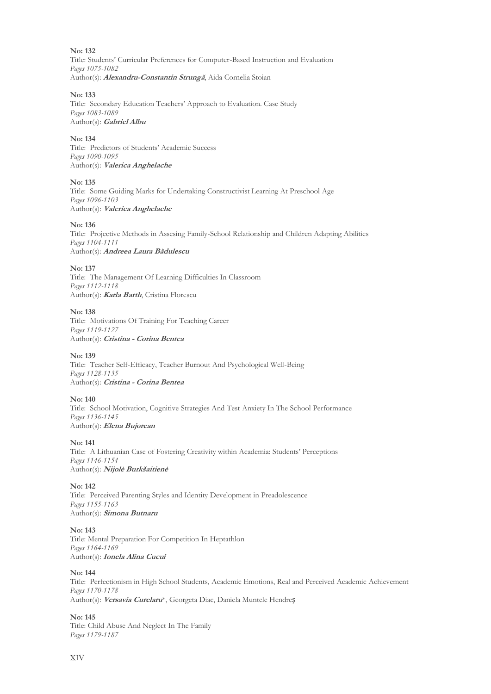**No: 132** Title: Students' Curricular Preferences for Computer-Based Instruction and Evaluation *Pages 1075-1082* Author(s): **Alexandru-Constantin Strungă**, Aida Cornelia Stoian

#### **No: 133**

Title: Secondary Education Teachers' Approach to Evaluation. Case Study *Pages 1083-1089* Author(s): **Gabriel Albu**

#### **No: 134**

Title: Predictors of Students' Academic Success *Pages 1090-1095* Author(s): **Valerica Anghelache**

#### **No: 135**

Title: Some Guiding Marks for Undertaking Constructivist Learning At Preschool Age *Pages 1096-1103* Author(s): **Valerica Anghelache**

#### **No: 136**

Title: Projective Methods in Assesing Family-School Relationship and Children Adapting Abilities *Pages 1104-1111* Author(s): **Andreea Laura Bădulescu**

#### **No: 137**

Title: The Management Of Learning Difficulties In Classroom *Pages 1112-1118* Author(s): **Karla Barth**, Cristina Florescu

#### **No: 138**

Title: Motivations Of Training For Teaching Career *Pages 1119-1127* Author(s): **Cristina - Corina Bentea**

#### **No: 139**

Title: Teacher Self-Efficacy, Teacher Burnout And Psychological Well-Being *Pages 1128-1135* Author(s): **Cristina - Corina Bentea**

#### **No: 140**

Title: School Motivation, Cognitive Strategies And Test Anxiety In The School Performance *Pages 1136-1145* Author(s): **Elena Bujorean**

#### **No: 141**

Title: A Lithuanian Case of Fostering Creativity within Academia: Students' Perceptions *Pages 1146-1154* Author(s): **Nijolė Burkšaitienė**

#### **No: 142**

Title: Perceived Parenting Styles and Identity Development in Preadolescence *Pages 1155-1163* Author(s): **Simona Butnaru**

# **No: 143**

Title: Mental Preparation For Competition In Heptathlon *Pages 1164-1169* Author(s): **Ionela Alina Cucui**

#### **No: 144**

Title: Perfectionism in High School Students, Academic Emotions, Real and Perceived Academic Achievement *Pages 1170-1178* Author(s): **Versavia Curelaru**\*, Georgeta Diac, Daniela Muntele Hendreș

# **No: 145**

Title: Child Abuse And Neglect In The Family *Pages 1179-1187*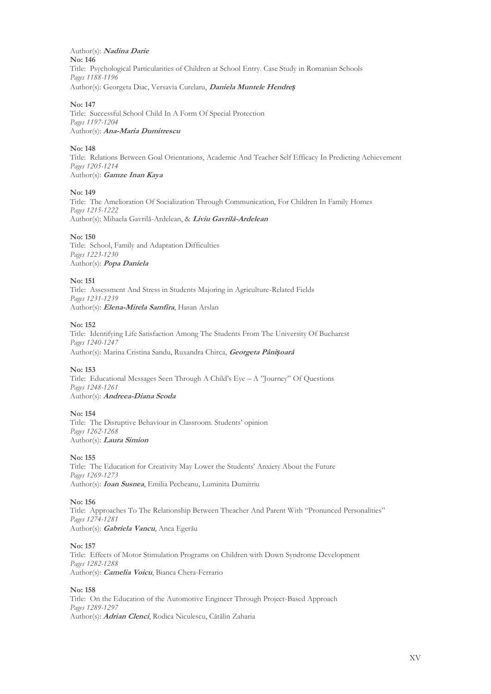Author(s): **Nadina Darie No: 146** Title: Psychological Particularities of Children at School Entry. Case Study in Romanian Schools *Pages 1188-1196* Author(s): Georgeta Diac, Versavia Curelaru, **Daniela Muntele Hendre***ș*

#### **No: 147**

Title: Successful School Child In A Form Of Special Protection *Pages 1197-1204* Author(s): **Ana-Maria Dumitrescu**

# **No: 148**

Title: Relations Between Goal Orientations, Academic And Teacher Self Efficacy In Predicting Achievement *Pages 1205-1214* Author(s): **Gamze Inan Kaya**

#### **No: 149**

Title: The Amelioration Of Socialization Through Communication, For Children In Family Homes *Pages 1215-1222* Author(s): Mihaela Gavrilă-Ardelean, & **Liviu Gavrilă-Ardelean**

# **No: 150**

Title: School, Family and Adaptation Difficulties *Pages 1223-1230* Author(s): **Popa Daniela**

#### **No: 151**

Title: Assessment And Stress in Students Majoring in Agriculture-Related Fields *Pages 1231-1239* Author(s): **Elena-Mirela Samfira**, Hasan Arslan

#### **No: 152**

Title: Identifying Life Satisfaction Among The Students From The University Of Bucharest *Pages 1240-1247* Author(s): Marina Cristina Sandu, Ruxandra Chirca, **Georgeta Pâni***ș***oar<sup>ă</sup>**

#### **No: 153**

Title: Educational Messages Seen Through A Child's Eye – A "Journey" Of Questions *Pages 1248-1261* Author(s): **Andreea-Diana Scoda**

#### **No: 154**

Title: The Disruptive Behaviour in Classroom. Students' opinion *Pages 1262-1268* Author(s): **Laura Simion**

#### **No: 155**

Title: The Education for Creativity May Lower the Students' Anxiety About the Future *Pages 1269-1273* Author(s): **Ioan Susnea**, Emilia Pecheanu, Luminita Dumitriu

#### **No: 156**

Title: Approaches To The Relationship Between Theacher And Parent With "Pronunced Personalities" *Pages 1274-1281* Author(s): **Gabriela Vancu**, Anca Egerău

#### **No: 157**

Title: Effects of Motor Stimulation Programs on Children with Down Syndrome Development *Pages 1282-1288* Author(s): **Camelia Voicu**, Bianca Chera-Ferrario

## **No: 158**

Title: On the Education of the Automotive Engineer Through Project-Based Approach *Pages 1289-1297* Author(s): **Adrian Clenci**, Rodica Niculescu, Cătălin Zaharia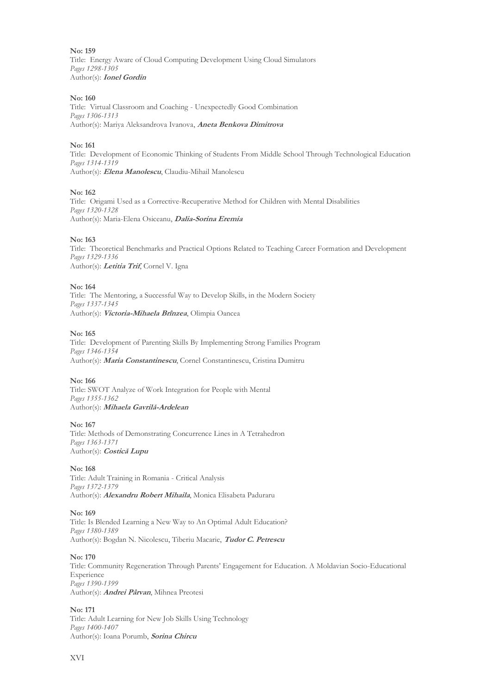**No: 159** Title: Energy Aware of Cloud Computing Development Using Cloud Simulators *Pages 1298-1305* Author(s): **Ionel Gordin**

#### **No: 160**

Title: Virtual Classroom and Coaching - Unexpectedly Good Combination *Pages 1306-1313* Author(s): Mariya Aleksandrova Ivanova, **Aneta Benkova Dimitrova**

#### **No: 161**

Title: Development of Economic Thinking of Students From Middle School Through Technological Education *Pages 1314-1319* Author(s): **Elena Manolescu**, Claudiu-Mihail Manolescu

#### **No: 162**

Title: Origami Used as a Corrective-Recuperative Method for Children with Mental Disabilities *Pages 1320-1328* Author(s): Maria-Elena Osiceanu, **Dalia-Sorina Eremia**

#### **No: 163**

Title: Theoretical Benchmarks and Practical Options Related to Teaching Career Formation and Development *Pages 1329-1336* Author(s): **Letitia Trif**, Cornel V. Igna

# **No: 164**

Title: The Mentoring, a Successful Way to Develop Skills, in the Modern Society *Pages 1337-1345* Author(s): **Victoria-Mihaela Brînzea**, Olimpia Oancea

#### **No: 165**

Title: Development of Parenting Skills By Implementing Strong Families Program *Pages 1346-1354* Author(s): **Maria Constantinescu**, Cornel Constantinescu, Cristina Dumitru

#### **No: 166**

Title: SWOT Analyze of Work Integration for People with Mental *Pages 1355-1362* Author(s): **Mihaela Gavrilă-Ardelean**

#### **No: 167**

Title: Methods of Demonstrating Concurrence Lines in A Tetrahedron *Pages 1363-1371* Author(s): **Costică Lupu**

#### **No: 168**

Title: Adult Training in Romania - Critical Analysis *Pages 1372-1379* Author(s): **Alexandru Robert Mihaila**, Monica Elisabeta Paduraru

#### **No: 169**

Title: Is Blended Learning a New Way to An Optimal Adult Education? *Pages 1380-1389* Author(s): Bogdan N. Nicolescu, Tiberiu Macarie, **Tudor C. Petrescu**

#### **No: 170**

Title: Community Regeneration Through Parents' Engagement for Education. A Moldavian Socio-Educational Experience *Pages 1390-1399* Author(s): **Andrei Pârvan**, Mihnea Preotesi

#### **No: 171**

Title: Adult Learning for New Job Skills Using Technology *Pages 1400-1407* Author(s): Ioana Porumb, **Sorina Chircu**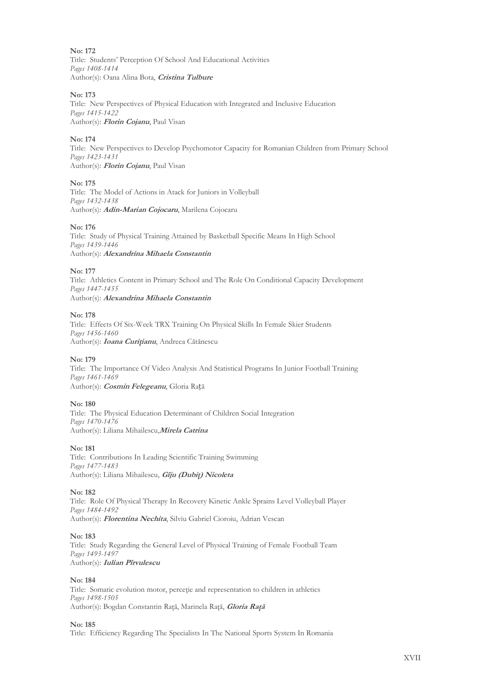**No: 172** Title: Students' Perception Of School And Educational Activities *Pages 1408-1414* Author(s): Oana Alina Bota, **Cristina Tulbure**

# **No: 173**

Title: New Perspectives of Physical Education with Integrated and Inclusive Education *Pages 1415-1422* Author(s): **Florin Cojanu**, Paul Visan

# **No: 174**

Title: New Perspectives to Develop Psychomotor Capacity for Romanian Children from Primary School *Pages 1423-1431* Author(s): **Florin Cojanu**, Paul Visan

# **No: 175**

Title: The Model of Actions in Atack for Juniors in Volleyball *Pages 1432-1438* Author(s): **Adin-Marian Cojocaru**, Marilena Cojocaru

#### **No: 176**

Title: Study of Physical Training Attained by Basketball Specific Means In High School *Pages 1439-1446* Author(s): **Alexandrina Mihaela Constantin**

#### **No: 177**

Title: Athletics Content in Primary School and The Role On Conditional Capacity Development *Pages 1447-1455* Author(s): **Alexandrina Mihaela Constantin**

# **No: 178**

Title: Effects Of Six-Week TRX Training On Physical Skills In Female Skier Students *Pages 1456-1460* Author(s): *Ioana Curițianu*, Andreea Cătănescu

# **No: 179**

Title: The Importance Of Video Analysis And Statistical Programs In Junior Football Training *Pages 1461-1469* Author(s): **Cosmin Felegeanu**, Gloria Rață

# **No: 180**

Title: The Physical Education Determinant of Children Social Integration *Pages 1470-1476* Author(s): Liliana Mihailescu,**Mirela Catrina**

**No: 181**

Title: Contributions In Leading Scientific Training Swimming *Pages 1477-1483* Author(s): Liliana Mihailescu, **Gîju (Dubiţ) Nicoleta**

#### **No: 182**

Title: Role Of Physical Therapy In Recovery Kinetic Ankle Sprains Level Volleyball Player *Pages 1484-1492* Author(s): **Florentina Nechita**, Silviu Gabriel Cioroiu, Adrian Vescan

# **No: 183**

Title: Study Regarding the General Level of Physical Training of Female Football Team *Pages 1493-1497* Author(s): **Iulian Pîrvulescu**

# **No: 184**

Title: Somatic evolution motor, perceţie and representation to children in athletics *Pages 1498-1505* Author(s): Bogdan Constantin Raţă, Marinela Raţă, **Gloria Raţă**

#### **No: 185**

Title: Efficiency Regarding The Specialists In The National Sports System In Romania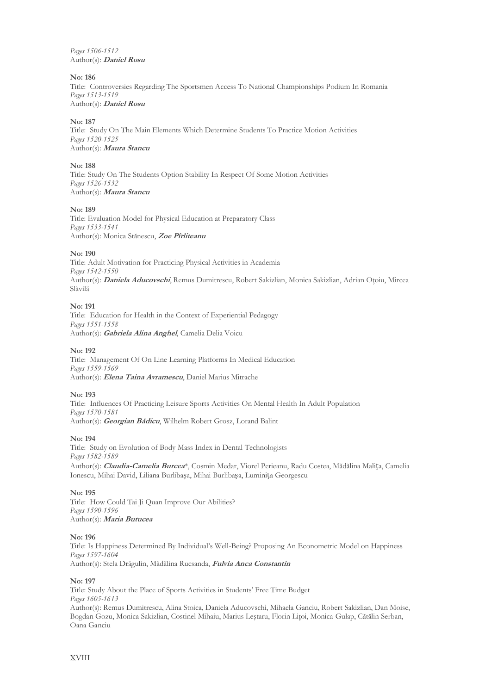*Pages 1506-1512* Author(s): **Daniel Rosu**

# **No: 186**

Title: Controversies Regarding The Sportsmen Access To National Championships Podium In Romania *Pages 1513-1519* Author(s): **Daniel Rosu**

#### **No: 187**

Title: Study On The Main Elements Which Determine Students To Practice Motion Activities *Pages 1520-1525* Author(s): **Maura Stancu**

#### **No: 188**

Title: Study On The Students Option Stability In Respect Of Some Motion Activities *Pages 1526-1532* Author(s): **Maura Stancu**

#### **No: 189**

Title: Evaluation Model for Physical Education at Preparatory Class *Pages 1533-1541* Author(s): Monica Stănescu, **Zoe Pîrliteanu**

#### **No: 190**

Title: Adult Motivation for Practicing Physical Activities in Academia *Pages 1542-1550* Author(s): **Daniela Aducovschi**, Remus Dumitrescu, Robert Sakizlian, Monica Sakizlian, Adrian Oţoiu, Mircea Slăvilă

#### **No: 191**

Title: Education for Health in the Context of Experiential Pedagogy *Pages 1551-1558* Author(s): **Gabriela Alina Anghel**, Camelia Delia Voicu

#### **No: 192**

Title: Management Of On Line Learning Platforms In Medical Education *Pages 1559-1569* Author(s): **Elena Taina Avramescu**, Daniel Marius Mitrache

#### **No: 193**

Title: Influences Of Practicing Leisure Sports Activities On Mental Health In Adult Population *Pages 1570-1581* Author(s): **Georgian Bădicu**, Wilhelm Robert Grosz, Lorand Balint

#### **No: 194**

Title: Study on Evolution of Body Mass Index in Dental Technologists *Pages 1582-1589* Author(s): **Claudia-Camelia Burcea**\*, Cosmin Medar, Viorel Perieanu, Radu Costea, Mădălina Malița, Camelia Ionescu, Mihai David, Liliana Burlibașa, Mihai Burlibașa, Luminița Georgescu

#### **No: 195**

Title: How Could Tai Ji Quan Improve Our Abilities? *Pages 1590-1596* Author(s): **Maria Butucea**

#### **No: 196**

Title: Is Happiness Determined By Individual's Well-Being? Proposing An Econometric Model on Happiness *Pages 1597-1604* Author(s): Stela Drăgulin, Mădălina Rucsanda, **Fulvia Anca Constantin**

#### **No: 197**

Title: Study About the Place of Sports Activities in Students' Free Time Budget *Pages 1605-1613* Author(s): Remus Dumitrescu, Alina Stoica, Daniela Aducovschi, Mihaela Ganciu, Robert Sakizlian, Dan Moise, Bogdan Gozu, Monica Sakizlian, Costinel Mihaiu, Marius Leştaru, Florin Liţoi, Monica Gulap, Cătălin Serban, Oana Ganciu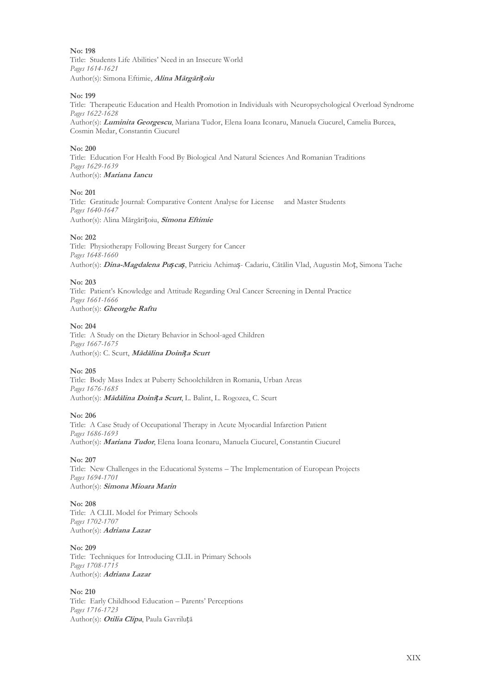Title: Students Life Abilities' Need in an Insecure World *Pages 1614-1621* Author(s): Simona Eftimie, **Alina Mărgări***ț***oiu**

#### **No: 199**

Title: Therapeutic Education and Health Promotion in Individuals with Neuropsychological Overload Syndrome *Pages 1622-1628*

Author(s): **Luminita Georgescu**, Mariana Tudor, Elena Ioana Iconaru, Manuela Ciucurel, Camelia Burcea, Cosmin Medar, Constantin Ciucurel

#### **No: 200**

Title: Education For Health Food By Biological And Natural Sciences And Romanian Traditions *Pages 1629-1639* Author(s): **Mariana Iancu**

#### **No: 201**

Title: Gratitude Journal: Comparative Content Analyse for License and Master Students *Pages 1640-1647* Author(s): Alina Mărgărițoiu, **Simona Eftimie**

#### **No: 202**

Title: Physiotherapy Following Breast Surgery for Cancer *Pages 1648-1660* Author(s): **Dina-Magdalena Pu***ș***ca***ș*, Patriciu Achimaș- Cadariu, Cătălin Vlad, Augustin Moț, Simona Tache

#### **No: 203**

Title: Patient's Knowledge and Attitude Regarding Oral Cancer Screening in Dental Practice *Pages 1661-1666* Author(s): **Gheorghe Raftu**

#### **No: 204**

Title: A Study on the Dietary Behavior in School-aged Children *Pages 1667-1675* Author(s): C. Scurt, **Mădălina Doini***ț***a Scurt**

#### **No: 205**

Title: Body Mass Index at Puberty Schoolchildren in Romania, Urban Areas *Pages 1676-1685* Author(s): **Mădălina Doini***ț***a Scurt**, L. Balint, L. Rogozea, C. Scurt

#### **No: 206**

Title: A Case Study of Occupational Therapy in Acute Myocardial Infarction Patient *Pages 1686-1693* Author(s): **Mariana Tudor**, Elena Ioana Iconaru, Manuela Ciucurel, Constantin Ciucurel

#### **No: 207**

Title: New Challenges in the Educational Systems – The Implementation of European Projects *Pages 1694-1701* Author(s): **Simona Mioara Marin**

#### **No: 208**

Title: A CLIL Model for Primary Schools *Pages 1702-1707* Author(s): **Adriana Lazar**

# **No: 209**

Title: Techniques for Introducing CLIL in Primary Schools *Pages 1708-1715* Author(s): **Adriana Lazar**

# **No: 210**

Title: Early Childhood Education – Parents' Perceptions *Pages 1716-1723* Author(s): **Otilia Clipa**, Paula Gavriluță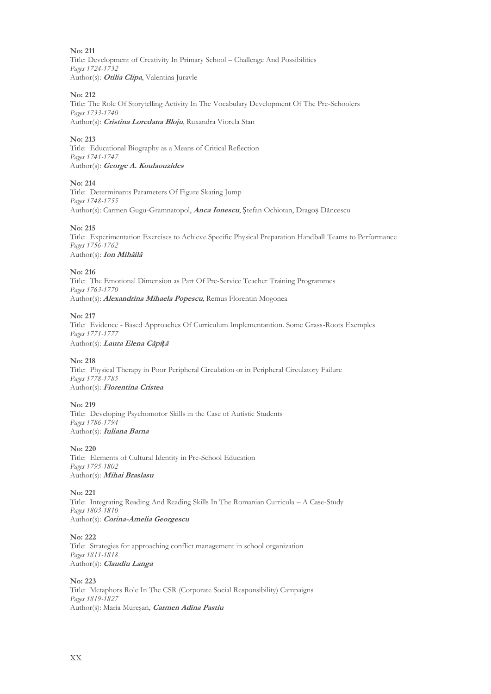**No: 211** Title: Development of Creativity In Primary School – Challenge And Possibilities *Pages 1724-1732* Author(s): **Otilia Clipa**, Valentina Juravle

# **No: 212**

Title: The Role Of Storytelling Activity In The Vocabulary Development Of The Pre-Schoolers *Pages 1733-1740* Author(s): **Cristina Loredana Bloju**, Ruxandra Viorela Stan

# **No: 213**

Title: Educational Biography as a Means of Critical Reflection *Pages 1741-1747* Author(s): **George A. Koulaouzides**

# **No: 214**

Title: Determinants Parameters Of Figure Skating Jump *Pages 1748-1755* Author(s): Carmen Gugu-Gramnatopol, **Anca Ionescu**, Ștefan Ochiotan, Dragoș Dăncescu

# **No: 215**

Title: Experimentation Exercises to Achieve Specific Physical Preparation Handball Teams to Performance *Pages 1756-1762* Author(s): **Ion Mihăilă**

# **No: 216**

Title: The Emotional Dimension as Part Of Pre-Service Teacher Training Programmes *Pages 1763-1770* Author(s): **Alexandrina Mihaela Popescu**, Remus Florentin Mogonea

# **No: 217**

Title: Evidence - Based Approaches Of Curriculum Implementantion. Some Grass-Roots Exemples *Pages 1771-1777* Author(s): **Laura Elena Căpi***ț***<sup>ă</sup>**

# **No: 218**

Title: Physical Therapy in Poor Peripheral Circulation or in Peripheral Circulatory Failure *Pages 1778-1785* Author(s): **Florentina Cristea**

# **No: 219**

Title: Developing Psychomotor Skills in the Case of Autistic Students *Pages 1786-1794* Author(s): **Iuliana Barna**

#### **No: 220**

Title: Elements of Cultural Identity in Pre-School Education *Pages 1795-1802* Author(s): **Mihai Braslasu**

# **No: 221**

Title: Integrating Reading And Reading Skills In The Romanian Curricula – A Case-Study *Pages 1803-1810* Author(s): **Corina-Amelia Georgescu**

#### **No: 222**

Title: Strategies for approaching conflict management in school organization *Pages 1811-1818* Author(s): **Claudiu Langa**

# **No: 223**

Title: Metaphors Role In The CSR (Corporate Social Responsibility) Campaigns *Pages 1819-1827* Author(s): Maria Mureşan, **Carmen Adina Pastiu**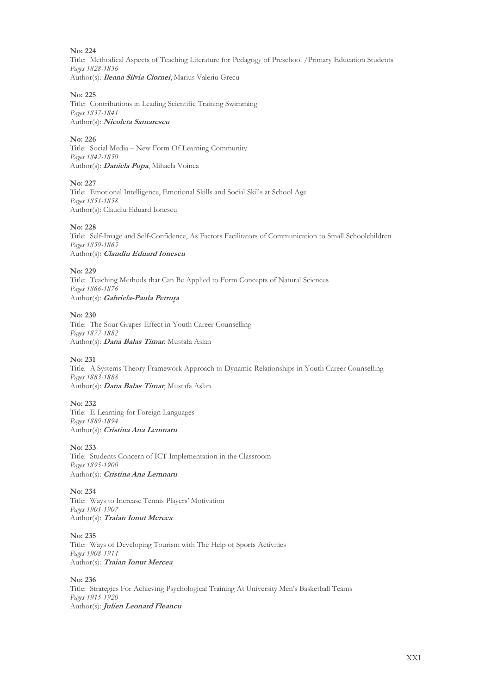Title: Methodical Aspects of Teaching Literature for Pedagogy of Preschool /Primary Education Students *Pages 1828-1836* Author(s): **Ileana Silvia Ciornei**, Marius Valeriu Grecu

# **No: 225**

Title: Contributions in Leading Scientific Training Swimming *Pages 1837-1841* Author(s): **Nicoleta Samarescu**

# **No: 226**

Title: Social Media – New Form Of Learning Community *Pages 1842-1850* Author(s): **Daniela Popa**, Mihaela Voinea

# **No: 227**

Title: Emotional Intelligence, Emotional Skills and Social Skills at School Age *Pages 1851-1858* Author(s): Claudiu Eduard Ionescu

# **No: 228**

Title: Self-Image and Self-Confidence, As Factors Facilitators of Communication to Small Schoolchildren *Pages 1859-1865* Author(s): **Claudiu Eduard Ionescu**

#### **No: 229**

Title: Teaching Methods that Can Be Applied to Form Concepts of Natural Sciences *Pages 1866-1876* Author(s): **Gabriela-Paula Petruţa**

# **No: 230**

Title: The Sour Grapes Effect in Youth Career Counselling *Pages 1877-1882* Author(s): **Dana Balas Timar**, Mustafa Aslan

# **No: 231**

Title: A Systems Theory Framework Approach to Dynamic Relationships in Youth Career Counselling *Pages 1883-1888* Author(s): **Dana Balas Timar**, Mustafa Aslan

# **No: 232**

Title: E-Learning for Foreign Languages *Pages 1889-1894* Author(s): **Cristina Ana Lemnaru**

#### **No: 233**

Title: Students Concern of ICT Implementation in the Classroom *Pages 1895-1900* Author(s): **Cristina Ana Lemnaru**

# **No: 234**

Title: Ways to Increase Tennis Players' Motivation *Pages 1901-1907* Author(s): **Traian Ionut Mercea**

#### **No: 235**

Title: Ways of Developing Tourism with The Help of Sports Activities *Pages 1908-1914* Author(s): **Traian Ionut Mercea**

#### **No: 236**

Title: Strategies For Achieving Psychological Training At University Men's Basketball Teams *Pages 1915-1920* Author(s): **Julien Leonard Fleancu**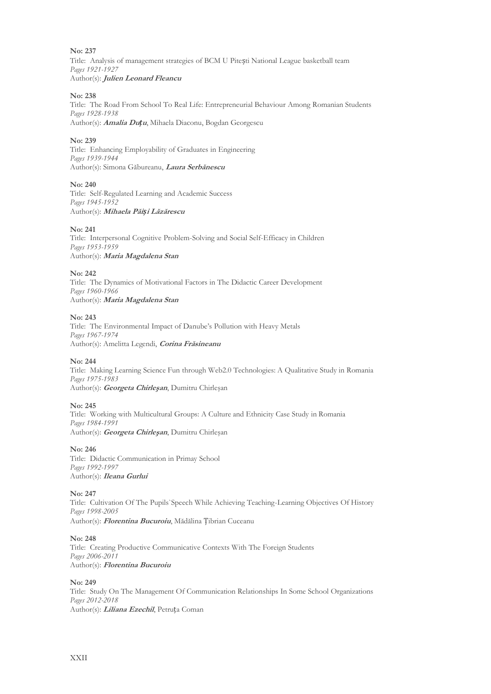Title: Analysis of management strategies of BCM U Pitești National League basketball team *Pages 1921-1927* Author(s): **Julien Leonard Fleancu**

# **No: 238**

Title: The Road From School To Real Life: Entrepreneurial Behaviour Among Romanian Students *Pages 1928-1938*

Author(s): **Amalia Du***ț***u**, Mihaela Diaconu, Bogdan Georgescu

# **No: 239**

Title: Enhancing Employability of Graduates in Engineering *Pages 1939-1944* Author(s): Simona Găbureanu, **Laura Serbănescu**

# **No: 240**

Title: Self-Regulated Learning and Academic Success *Pages 1945-1952* Author(s): **Mihaela Păi***ș***i Lăzărescu**

# **No: 241**

Title: Interpersonal Cognitive Problem-Solving and Social Self-Efficacy in Children *Pages 1953-1959* Author(s): **Maria Magdalena Stan**

# **No: 242**

Title: The Dynamics of Motivational Factors in The Didactic Career Development *Pages 1960-1966* Author(s): **Maria Magdalena Stan**

# **No: 243**

Title: The Environmental Impact of Danube's Pollution with Heavy Metals *Pages 1967-1974* Author(s): Amelitta Legendi, **Corina Frăsineanu**

#### **No: 244**

Title: Making Learning Science Fun through Web2.0 Technologies: A Qualitative Study in Romania *Pages 1975-1983* Author(s): **Georgeta Chirleşan**, Dumitru Chirleşan

# **No: 245**

Title: Working with Multicultural Groups: A Culture and Ethnicity Case Study in Romania *Pages 1984-1991* Author(s): **Georgeta Chirleşan**, Dumitru Chirleşan

**No: 246**

Title: Didactic Communication in Primay School *Pages 1992-1997* Author(s): **Ileana Gurlui**

#### **No: 247**

Title: Cultivation Of The Pupils`Speech While Achieving Teaching-Learning Objectives Of History *Pages 1998-2005* Author(s): **Florentina Bucuroiu**, Mădălina Țibrian Cuceanu

#### **No: 248**

Title: Creating Productive Communicative Contexts With The Foreign Students *Pages 2006-2011* Author(s): **Florentina Bucuroiu**

#### **No: 249**

Title: Study On The Management Of Communication Relationships In Some School Organizations *Pages 2012-2018* Author(s): **Liliana Ezechil**, Petruța Coman